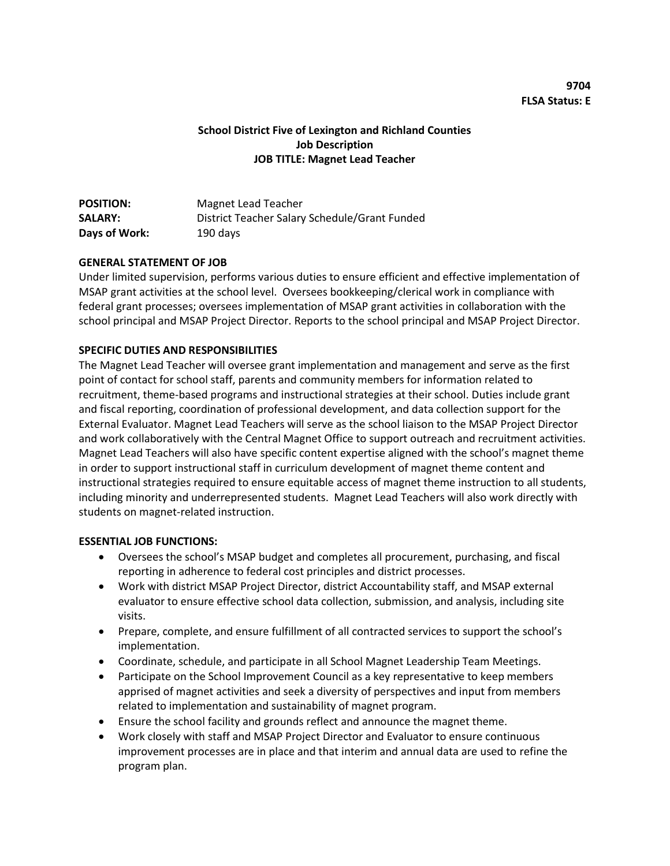# **School District Five of Lexington and Richland Counties Job Description JOB TITLE: Magnet Lead Teacher**

| <b>POSITION:</b> | Magnet Lead Teacher                           |
|------------------|-----------------------------------------------|
| <b>SALARY:</b>   | District Teacher Salary Schedule/Grant Funded |
| Days of Work:    | 190 days                                      |

### **GENERAL STATEMENT OF JOB**

Under limited supervision, performs various duties to ensure efficient and effective implementation of MSAP grant activities at the school level. Oversees bookkeeping/clerical work in compliance with federal grant processes; oversees implementation of MSAP grant activities in collaboration with the school principal and MSAP Project Director. Reports to the school principal and MSAP Project Director.

# **SPECIFIC DUTIES AND RESPONSIBILITIES**

The Magnet Lead Teacher will oversee grant implementation and management and serve as the first point of contact for school staff, parents and community members for information related to recruitment, theme-based programs and instructional strategies at their school. Duties include grant and fiscal reporting, coordination of professional development, and data collection support for the External Evaluator. Magnet Lead Teachers will serve as the school liaison to the MSAP Project Director and work collaboratively with the Central Magnet Office to support outreach and recruitment activities. Magnet Lead Teachers will also have specific content expertise aligned with the school's magnet theme in order to support instructional staff in curriculum development of magnet theme content and instructional strategies required to ensure equitable access of magnet theme instruction to all students, including minority and underrepresented students. Magnet Lead Teachers will also work directly with students on magnet-related instruction.

### **ESSENTIAL JOB FUNCTIONS:**

- Oversees the school's MSAP budget and completes all procurement, purchasing, and fiscal reporting in adherence to federal cost principles and district processes.
- Work with district MSAP Project Director, district Accountability staff, and MSAP external evaluator to ensure effective school data collection, submission, and analysis, including site visits.
- Prepare, complete, and ensure fulfillment of all contracted services to support the school's implementation.
- Coordinate, schedule, and participate in all School Magnet Leadership Team Meetings.
- Participate on the School Improvement Council as a key representative to keep members apprised of magnet activities and seek a diversity of perspectives and input from members related to implementation and sustainability of magnet program.
- Ensure the school facility and grounds reflect and announce the magnet theme.
- Work closely with staff and MSAP Project Director and Evaluator to ensure continuous improvement processes are in place and that interim and annual data are used to refine the program plan.